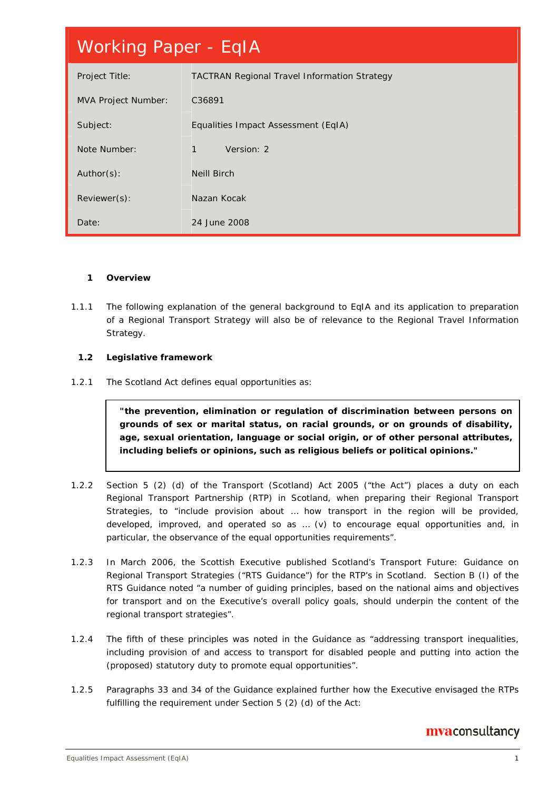# Working Paper - EqIA

| Project Title:             | <b>TACTRAN Regional Travel Information Strategy</b> |
|----------------------------|-----------------------------------------------------|
| <b>MVA Project Number:</b> | C36891                                              |
| Subject:                   | Equalities Impact Assessment (EqIA)                 |
| Note Number:               | Version: 2<br>1                                     |
| Author(s):                 | <b>Neill Birch</b>                                  |
| Reviewer(s):               | Nazan Kocak                                         |
| Date:                      | 24 June 2008                                        |

#### **1 Overview**

1.1.1 The following explanation of the general background to EqIA and its application to preparation of a Regional Transport Strategy will also be of relevance to the Regional Travel Information Strategy.

#### **1.2 Legislative framework**

1.2.1 The Scotland Act defines equal opportunities as:

*"the prevention, elimination or regulation of discrimination between persons on grounds of sex or marital status, on racial grounds, or on grounds of disability, age, sexual orientation, language or social origin, or of other personal attributes, including beliefs or opinions, such as religious beliefs or political opinions."* 

- 1.2.2 Section 5 (2) (d) of the Transport (Scotland) Act 2005 ("the Act") places a duty on each Regional Transport Partnership (RTP) in Scotland, when preparing their Regional Transport Strategies, to "include provision about … how transport in the region will be provided, developed, improved, and operated so as … (v) to encourage equal opportunities and, in particular, the observance of the equal opportunities requirements".
- 1.2.3 In March 2006, the Scottish Executive published Scotland's Transport Future: Guidance on Regional Transport Strategies ("RTS Guidance") for the RTP's in Scotland. Section B (I) of the RTS Guidance noted "a number of guiding principles, based on the national aims and objectives for transport and on the Executive's overall policy goals, should underpin the content of the regional transport strategies".
- 1.2.4 The fifth of these principles was noted in the Guidance as "addressing transport inequalities, including provision of and access to transport for disabled people and putting into action the (proposed) statutory duty to promote equal opportunities".
- 1.2.5 Paragraphs 33 and 34 of the Guidance explained further how the Executive envisaged the RTPs fulfilling the requirement under Section 5 (2) (d) of the Act: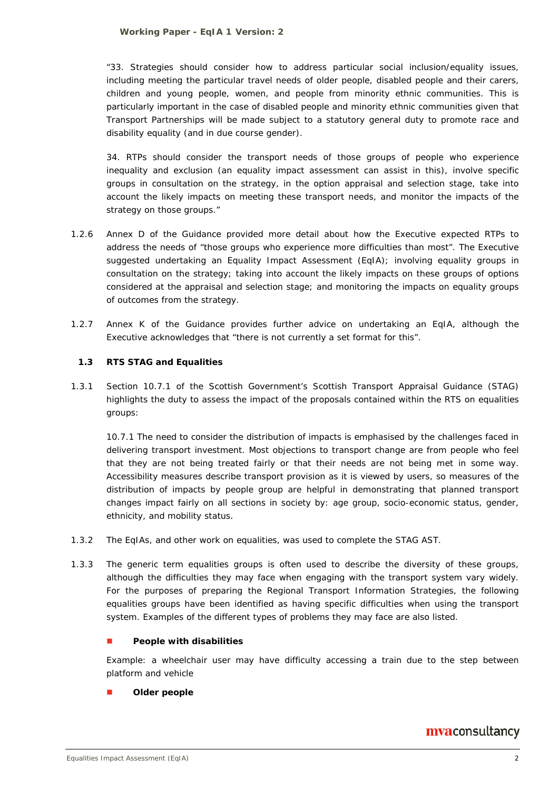*"33. Strategies should consider how to address particular social inclusion/equality issues, including meeting the particular travel needs of older people, disabled people and their carers, children and young people, women, and people from minority ethnic communities. This is particularly important in the case of disabled people and minority ethnic communities given that Transport Partnerships will be made subject to a statutory general duty to promote race and disability equality (and in due course gender).* 

*34. RTPs should consider the transport needs of those groups of people who experience inequality and exclusion (an equality impact assessment can assist in this), involve specific groups in consultation on the strategy, in the option appraisal and selection stage, take into account the likely impacts on meeting these transport needs, and monitor the impacts of the strategy on those groups."*

- 1.2.6 Annex D of the Guidance provided more detail about how the Executive expected RTPs to address the needs of "those groups who experience more difficulties than most". The Executive suggested undertaking an Equality Impact Assessment (EqIA); involving equality groups in consultation on the strategy; taking into account the likely impacts on these groups of options considered at the appraisal and selection stage; and monitoring the impacts on equality groups of outcomes from the strategy.
- 1.2.7 Annex K of the Guidance provides further advice on undertaking an EqIA, although the Executive acknowledges that "there is not currently a set format for this".

#### **1.3 RTS STAG and Equalities**

1.3.1 Section 10.7.1 of the Scottish Government's Scottish Transport Appraisal Guidance (STAG) highlights the duty to assess the impact of the proposals contained within the RTS on equalities groups:

*10.7.1 The need to consider the distribution of impacts is emphasised by the challenges faced in delivering transport investment. Most objections to transport change are from people who feel that they are not being treated fairly or that their needs are not being met in some way. Accessibility measures describe transport provision as it is viewed by users, so measures of the distribution of impacts by people group are helpful in demonstrating that planned transport changes impact fairly on all sections in society by: age group, socio-economic status, gender, ethnicity, and mobility status.* 

- 1.3.2 The EqIAs, and other work on equalities, was used to complete the STAG AST.
- 1.3.3 The generic term *equalities groups* is often used to describe the diversity of these groups, although the difficulties they may face when engaging with the transport system vary widely. For the purposes of preparing the Regional Transport Information Strategies, the following equalities groups have been identified as having specific difficulties when using the transport system. Examples of the different types of problems they may face are also listed.

#### **People with disabilities**

Example: a wheelchair user may have difficulty accessing a train due to the step between platform and vehicle

#### **Older people**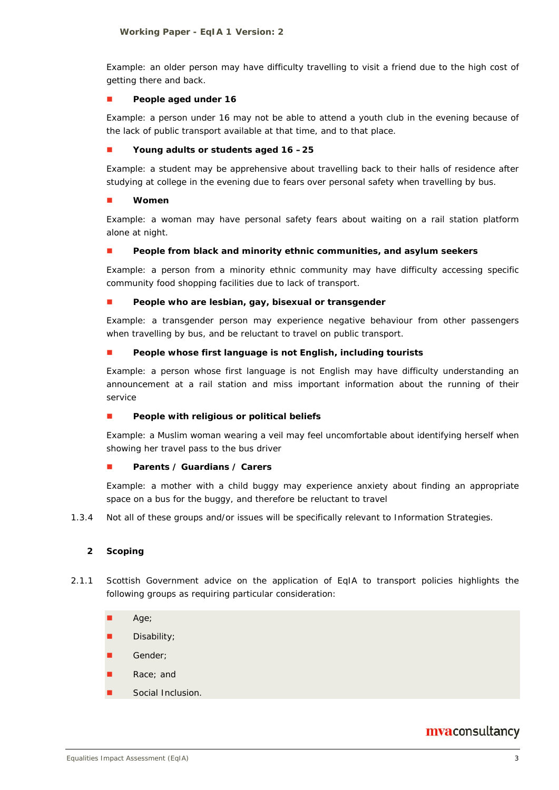Example: an older person may have difficulty travelling to visit a friend due to the high cost of getting there and back.

#### **People aged under 16**

Example: a person under 16 may not be able to attend a youth club in the evening because of the lack of public transport available at that time, and to that place.

#### **Young adults or students aged 16 –25**

Example: a student may be apprehensive about travelling back to their halls of residence after studying at college in the evening due to fears over personal safety when travelling by bus.

#### **Women**

Example: a woman may have personal safety fears about waiting on a rail station platform alone at night.

#### **People from black and minority ethnic communities, and asylum seekers**

Example: a person from a minority ethnic community may have difficulty accessing specific community food shopping facilities due to lack of transport.

#### **People who are lesbian, gay, bisexual or transgender**

Example: a transgender person may experience negative behaviour from other passengers when travelling by bus, and be reluctant to travel on public transport.

#### **People whose first language is not English, including tourists**

Example: a person whose first language is not English may have difficulty understanding an announcement at a rail station and miss important information about the running of their service

#### **People with religious or political beliefs**

Example: a Muslim woman wearing a veil may feel uncomfortable about identifying herself when showing her travel pass to the bus driver

#### **Parents / Guardians / Carers**

Example: a mother with a child buggy may experience anxiety about finding an appropriate space on a bus for the buggy, and therefore be reluctant to travel

1.3.4 Not all of these groups and/or issues will be specifically relevant to Information Strategies.

#### **2 Scoping**

- 2.1.1 Scottish Government advice on the application of EqIA to transport policies highlights the following groups as requiring particular consideration:
	- Age;
	- Disability;
	- Gender;
	- Race; and
	- Social Inclusion.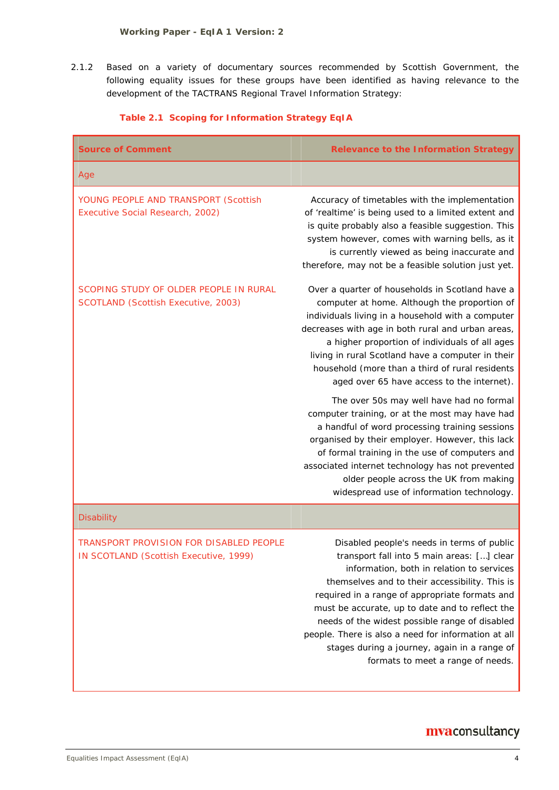2.1.2 Based on a variety of documentary sources recommended by Scottish Government, the following equality issues for these groups have been identified as having relevance to the development of the TACTRANS Regional Travel Information Strategy:

| <b>Source of Comment</b>                                                          | <b>Relevance to the Information Strategy</b>                                                                                                                                                                                                                                                                                                                                                                                                                                               |
|-----------------------------------------------------------------------------------|--------------------------------------------------------------------------------------------------------------------------------------------------------------------------------------------------------------------------------------------------------------------------------------------------------------------------------------------------------------------------------------------------------------------------------------------------------------------------------------------|
| Age                                                                               |                                                                                                                                                                                                                                                                                                                                                                                                                                                                                            |
| YOUNG PEOPLE AND TRANSPORT (Scottish<br>Executive Social Research, 2002)          | Accuracy of timetables with the implementation<br>of 'realtime' is being used to a limited extent and<br>is quite probably also a feasible suggestion. This<br>system however, comes with warning bells, as it<br>is currently viewed as being inaccurate and<br>therefore, may not be a feasible solution just yet.                                                                                                                                                                       |
| SCOPING STUDY OF OLDER PEOPLE IN RURAL<br>SCOTLAND (Scottish Executive, 2003)     | Over a quarter of households in Scotland have a<br>computer at home. Although the proportion of<br>individuals living in a household with a computer<br>decreases with age in both rural and urban areas,<br>a higher proportion of individuals of all ages<br>living in rural Scotland have a computer in their<br>household (more than a third of rural residents<br>aged over 65 have access to the internet).                                                                          |
|                                                                                   | The over 50s may well have had no formal<br>computer training, or at the most may have had<br>a handful of word processing training sessions<br>organised by their employer. However, this lack<br>of formal training in the use of computers and<br>associated internet technology has not prevented<br>older people across the UK from making<br>widespread use of information technology.                                                                                               |
| <b>Disability</b>                                                                 |                                                                                                                                                                                                                                                                                                                                                                                                                                                                                            |
| TRANSPORT PROVISION FOR DISABLED PEOPLE<br>IN SCOTLAND (Scottish Executive, 1999) | Disabled people's needs in terms of public<br>transport fall into 5 main areas: [] clear<br>information, both in relation to services<br>themselves and to their accessibility. This is<br>required in a range of appropriate formats and<br>must be accurate, up to date and to reflect the<br>needs of the widest possible range of disabled<br>people. There is also a need for information at all<br>stages during a journey, again in a range of<br>formats to meet a range of needs. |

#### **Table 2.1 Scoping for Information Strategy EqIA**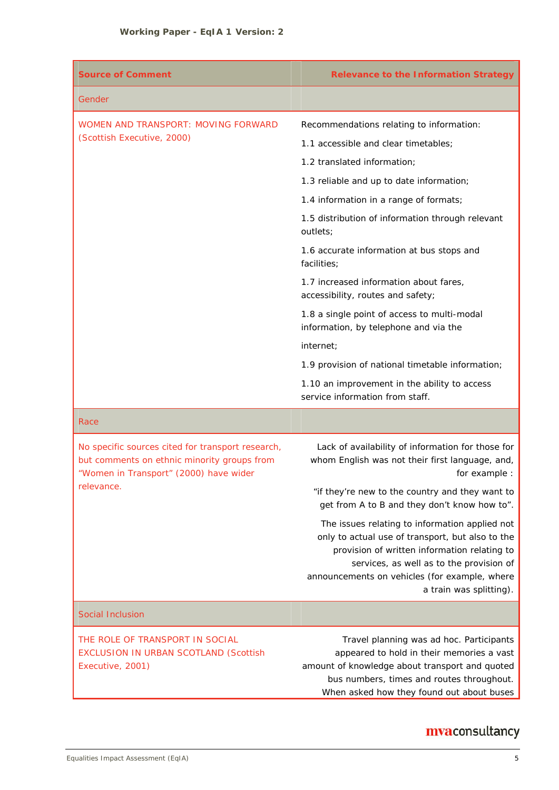| <b>Source of Comment</b>                                                                                                                   | <b>Relevance to the Information Strategy</b>                                                                                                                                                                                                                               |  |
|--------------------------------------------------------------------------------------------------------------------------------------------|----------------------------------------------------------------------------------------------------------------------------------------------------------------------------------------------------------------------------------------------------------------------------|--|
| Gender                                                                                                                                     |                                                                                                                                                                                                                                                                            |  |
| WOMEN AND TRANSPORT: MOVING FORWARD                                                                                                        | Recommendations relating to information:                                                                                                                                                                                                                                   |  |
| (Scottish Executive, 2000)                                                                                                                 | 1.1 accessible and clear timetables;                                                                                                                                                                                                                                       |  |
|                                                                                                                                            | 1.2 translated information;                                                                                                                                                                                                                                                |  |
|                                                                                                                                            | 1.3 reliable and up to date information;                                                                                                                                                                                                                                   |  |
|                                                                                                                                            | 1.4 information in a range of formats;                                                                                                                                                                                                                                     |  |
|                                                                                                                                            | 1.5 distribution of information through relevant<br>outlets;                                                                                                                                                                                                               |  |
|                                                                                                                                            | 1.6 accurate information at bus stops and<br>facilities;                                                                                                                                                                                                                   |  |
|                                                                                                                                            | 1.7 increased information about fares,<br>accessibility, routes and safety;                                                                                                                                                                                                |  |
|                                                                                                                                            | 1.8 a single point of access to multi-modal<br>information, by telephone and via the                                                                                                                                                                                       |  |
|                                                                                                                                            | internet;                                                                                                                                                                                                                                                                  |  |
|                                                                                                                                            | 1.9 provision of national timetable information;                                                                                                                                                                                                                           |  |
|                                                                                                                                            | 1.10 an improvement in the ability to access<br>service information from staff.                                                                                                                                                                                            |  |
| Race                                                                                                                                       |                                                                                                                                                                                                                                                                            |  |
| No specific sources cited for transport research,<br>but comments on ethnic minority groups from<br>"Women in Transport" (2000) have wider | Lack of availability of information for those for<br>whom English was not their first language, and,<br>for example :                                                                                                                                                      |  |
| relevance.                                                                                                                                 | "if they're new to the country and they want to<br>get from A to B and they don't know how to".                                                                                                                                                                            |  |
|                                                                                                                                            | The issues relating to information applied not<br>only to actual use of transport, but also to the<br>provision of written information relating to<br>services, as well as to the provision of<br>announcements on vehicles (for example, where<br>a train was splitting). |  |

#### Social Inclusion

THE ROLE OF TRANSPORT IN SOCIAL EXCLUSION IN URBAN SCOTLAND (Scottish Executive, 2001)

Travel planning was ad hoc. Participants appeared to hold in their memories a vast amount of knowledge about transport and quoted bus numbers, times and routes throughout. When asked how they found out about buses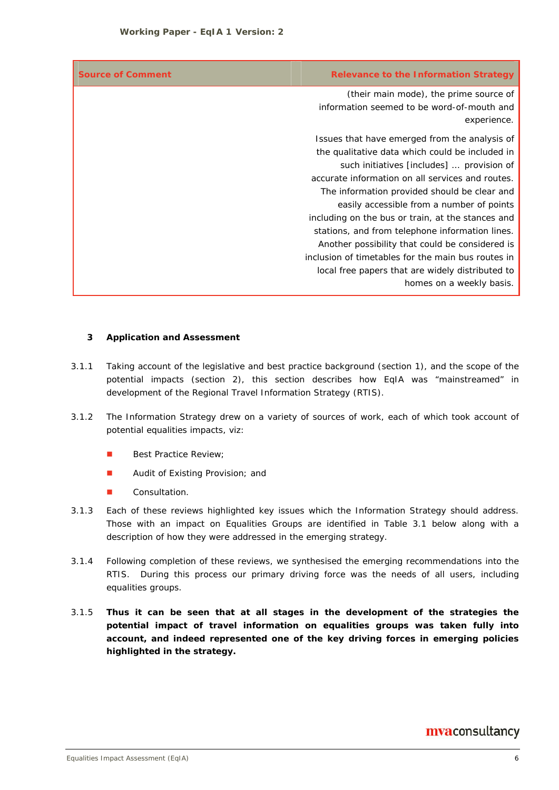| <b>Source of Comment</b> | <b>Relevance to the Information Strategy</b>       |
|--------------------------|----------------------------------------------------|
|                          | (their main mode), the prime source of             |
|                          | information seemed to be word-of-mouth and         |
|                          | experience.                                        |
|                          | Issues that have emerged from the analysis of      |
|                          | the qualitative data which could be included in    |
|                          | such initiatives [includes]  provision of          |
|                          | accurate information on all services and routes.   |
|                          | The information provided should be clear and       |
|                          | easily accessible from a number of points          |
|                          | including on the bus or train, at the stances and  |
|                          | stations, and from telephone information lines.    |
|                          | Another possibility that could be considered is    |
|                          | inclusion of timetables for the main bus routes in |
|                          | local free papers that are widely distributed to   |
|                          | homes on a weekly basis.                           |

#### **3 Application and Assessment**

- 3.1.1 Taking account of the legislative and best practice background (section 1), and the scope of the potential impacts (section 2), this section describes how EqIA was "mainstreamed" in development of the Regional Travel Information Strategy (RTIS).
- 3.1.2 The Information Strategy drew on a variety of sources of work, each of which took account of potential equalities impacts, viz:
	- **Best Practice Review;**
	- **Audit of Existing Provision; and**
	- **Consultation.**
- 3.1.3 Each of these reviews highlighted key issues which the Information Strategy should address. Those with an impact on Equalities Groups are identified in Table 3.1 below along with a description of how they were addressed in the emerging strategy.
- 3.1.4 Following completion of these reviews, we synthesised the emerging recommendations into the RTIS. During this process our primary driving force was the needs of all users, including equalities groups.
- 3.1.5 **Thus it can be seen that at all stages in the development of the strategies the potential impact of travel information on equalities groups was taken fully into account, and indeed represented one of the key driving forces in emerging policies highlighted in the strategy.**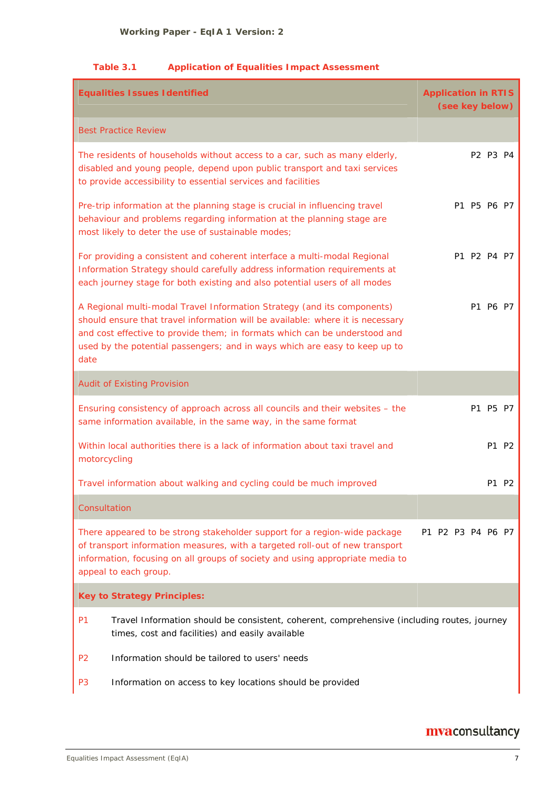#### **Table 3.1 Application of Equalities Impact Assessment**

| <b>Equalities Issues Identified</b>                                                                                                                                                                                                                                                                                           | <b>Application in RTIS</b><br>(see key below) |  |  |  |
|-------------------------------------------------------------------------------------------------------------------------------------------------------------------------------------------------------------------------------------------------------------------------------------------------------------------------------|-----------------------------------------------|--|--|--|
| <b>Best Practice Review</b>                                                                                                                                                                                                                                                                                                   |                                               |  |  |  |
| The residents of households without access to a car, such as many elderly,<br>disabled and young people, depend upon public transport and taxi services<br>to provide accessibility to essential services and facilities                                                                                                      | P2 P3 P4                                      |  |  |  |
| Pre-trip information at the planning stage is crucial in influencing travel<br>behaviour and problems regarding information at the planning stage are<br>most likely to deter the use of sustainable modes;                                                                                                                   | P1 P5 P6 P7                                   |  |  |  |
| For providing a consistent and coherent interface a multi-modal Regional<br>Information Strategy should carefully address information requirements at<br>each journey stage for both existing and also potential users of all modes                                                                                           | P1 P2 P4 P7                                   |  |  |  |
| A Regional multi-modal Travel Information Strategy (and its components)<br>should ensure that travel information will be available: where it is necessary<br>and cost effective to provide them; in formats which can be understood and<br>used by the potential passengers; and in ways which are easy to keep up to<br>date | P1 P6 P7                                      |  |  |  |
| <b>Audit of Existing Provision</b>                                                                                                                                                                                                                                                                                            |                                               |  |  |  |
| Ensuring consistency of approach across all councils and their websites - the<br>same information available, in the same way, in the same format                                                                                                                                                                              | P1 P5 P7                                      |  |  |  |
| Within local authorities there is a lack of information about taxi travel and<br>motorcycling                                                                                                                                                                                                                                 | P1 P2                                         |  |  |  |
| Travel information about walking and cycling could be much improved                                                                                                                                                                                                                                                           | P1<br>P <sub>2</sub>                          |  |  |  |
| Consultation                                                                                                                                                                                                                                                                                                                  |                                               |  |  |  |
| There appeared to be strong stakeholder support for a region-wide package<br>of transport information measures, with a targeted roll-out of new transport<br>information, focusing on all groups of society and using appropriate media to<br>appeal to each group.                                                           | P1 P2 P3 P4 P6 P7                             |  |  |  |
| <b>Key to Strategy Principles:</b>                                                                                                                                                                                                                                                                                            |                                               |  |  |  |
| P <sub>1</sub><br>Travel Information should be consistent, coherent, comprehensive (including routes, journey<br>times, cost and facilities) and easily available                                                                                                                                                             |                                               |  |  |  |
| Information should be tailored to users' needs<br>P <sub>2</sub>                                                                                                                                                                                                                                                              |                                               |  |  |  |
| P <sub>3</sub><br>Information on access to key locations should be provided                                                                                                                                                                                                                                                   |                                               |  |  |  |